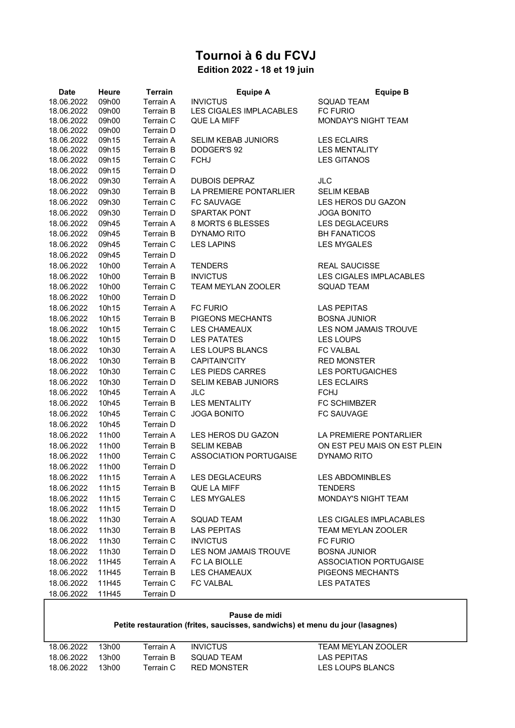# Tournoi à 6 du FCVJ

## Edition 2022 - 18 et 19 juin

| <b>Date</b> | <b>Heure</b> | <b>Terrain</b>   | <b>Equipe A</b>               | <b>Equipe B</b>               |
|-------------|--------------|------------------|-------------------------------|-------------------------------|
| 18.06.2022  | 09h00        | <b>Terrain A</b> | <b>INVICTUS</b>               | <b>SQUAD TEAM</b>             |
| 18.06.2022  | 09h00        | Terrain B        | LES CIGALES IMPLACABLES       | <b>FC FURIO</b>               |
| 18.06.2022  | 09h00        | Terrain C        | QUE LA MIFF                   | MONDAY'S NIGHT TEAM           |
| 18.06.2022  | 09h00        | Terrain D        |                               |                               |
| 18.06.2022  | 09h15        | Terrain A        | <b>SELIM KEBAB JUNIORS</b>    | <b>LES ECLAIRS</b>            |
| 18.06.2022  | 09h15        | <b>Terrain B</b> | DODGER'S 92                   | <b>LES MENTALITY</b>          |
| 18.06.2022  | 09h15        | Terrain C        | <b>FCHJ</b>                   | <b>LES GITANOS</b>            |
| 18.06.2022  | 09h15        | Terrain D        |                               |                               |
| 18.06.2022  | 09h30        | Terrain A        | <b>DUBOIS DEPRAZ</b>          | <b>JLC</b>                    |
| 18.06.2022  | 09h30        | Terrain B        | LA PREMIERE PONTARLIER        | <b>SELIM KEBAB</b>            |
| 18.06.2022  | 09h30        | Terrain C        | FC SAUVAGE                    | LES HEROS DU GAZON            |
| 18.06.2022  | 09h30        | Terrain D        | <b>SPARTAK PONT</b>           | <b>JOGA BONITO</b>            |
| 18.06.2022  | 09h45        | Terrain A        | 8 MORTS 6 BLESSES             | LES DEGLACEURS                |
| 18.06.2022  | 09h45        | <b>Terrain B</b> | DYNAMO RITO                   | <b>BH FANATICOS</b>           |
| 18.06.2022  | 09h45        | Terrain C        | <b>LES LAPINS</b>             | <b>LES MYGALES</b>            |
| 18.06.2022  | 09h45        | Terrain D        |                               |                               |
| 18.06.2022  | 10h00        | Terrain A        | <b>TENDERS</b>                | <b>REAL SAUCISSE</b>          |
| 18.06.2022  | 10h00        | <b>Terrain B</b> | <b>INVICTUS</b>               | LES CIGALES IMPLACABLES       |
| 18.06.2022  | 10h00        | Terrain C        | TEAM MEYLAN ZOOLER            | <b>SQUAD TEAM</b>             |
| 18.06.2022  | 10h00        | Terrain D        |                               |                               |
| 18.06.2022  | 10h15        | Terrain A        | <b>FC FURIO</b>               | <b>LAS PEPITAS</b>            |
| 18.06.2022  | 10h15        | Terrain B        | PIGEONS MECHANTS              | <b>BOSNA JUNIOR</b>           |
| 18.06.2022  | 10h15        | Terrain C        | <b>LES CHAMEAUX</b>           | LES NOM JAMAIS TROUVE         |
| 18.06.2022  | 10h15        | Terrain D        | <b>LES PATATES</b>            | <b>LES LOUPS</b>              |
| 18.06.2022  | 10h30        | Terrain A        | LES LOUPS BLANCS              | <b>FC VALBAL</b>              |
| 18.06.2022  | 10h30        | <b>Terrain B</b> | CAPITAIN'CITY                 | <b>RED MONSTER</b>            |
| 18.06.2022  | 10h30        | Terrain C        | <b>LES PIEDS CARRES</b>       | <b>LES PORTUGAICHES</b>       |
| 18.06.2022  | 10h30        | Terrain D        | <b>SELIM KEBAB JUNIORS</b>    | <b>LES ECLAIRS</b>            |
| 18.06.2022  | 10h45        | Terrain A        | <b>JLC</b>                    | <b>FCHJ</b>                   |
| 18.06.2022  | 10h45        | <b>Terrain B</b> | <b>LES MENTALITY</b>          | FC SCHIMBZER                  |
| 18.06.2022  | 10h45        | Terrain C        | <b>JOGA BONITO</b>            | <b>FC SAUVAGE</b>             |
| 18.06.2022  | 10h45        | Terrain D        |                               |                               |
|             |              |                  |                               |                               |
| 18.06.2022  | 11h00        | Terrain A        | LES HEROS DU GAZON            | LA PREMIERE PONTARLIER        |
| 18.06.2022  | 11h00        | <b>Terrain B</b> | <b>SELIM KEBAB</b>            | ON EST PEU MAIS ON EST PLEIN  |
| 18.06.2022  | 11h00        | Terrain C        | <b>ASSOCIATION PORTUGAISE</b> | DYNAMO RITO                   |
| 18.06.2022  | 11h00        | Terrain D        |                               |                               |
| 18.06.2022  | 11h15        | Terrain A        | <b>LES DEGLACEURS</b>         | <b>LES ABDOMINBLES</b>        |
| 18.06.2022  | 11h15        | Terrain B        | QUE LA MIFF                   | <b>TENDERS</b>                |
| 18.06.2022  | 11h15        | Terrain C        | <b>LES MYGALES</b>            | MONDAY'S NIGHT TEAM           |
| 18.06.2022  | 11h15        | Terrain D        |                               |                               |
| 18.06.2022  | 11h30        | Terrain A        | <b>SQUAD TEAM</b>             | LES CIGALES IMPLACABLES       |
| 18.06.2022  | 11h30        | Terrain B        | <b>LAS PEPITAS</b>            | TEAM MEYLAN ZOOLER            |
| 18.06.2022  | 11h30        | Terrain C        | <b>INVICTUS</b>               | <b>FC FURIO</b>               |
| 18.06.2022  | 11h30        | Terrain D        | LES NOM JAMAIS TROUVE         | <b>BOSNA JUNIOR</b>           |
| 18.06.2022  | 11H45        | Terrain A        | FC LA BIOLLE                  | <b>ASSOCIATION PORTUGAISE</b> |
| 18.06.2022  | 11H45        | Terrain B        | LES CHAMEAUX                  | PIGEONS MECHANTS              |
| 18.06.2022  | 11H45        | Terrain C        | FC VALBAL                     | <b>LES PATATES</b>            |
| 18.06.2022  | 11H45        | Terrain D        |                               |                               |

### Pause de midi Petite restauration (frites, saucisses, sandwichs) et menu du jour (lasagnes)

| 18.06.2022 | 13h00  | Terrain A | <b>INVICTUS</b>    | TEAM MEYLAN ZOOLER |
|------------|--------|-----------|--------------------|--------------------|
| 18.06.2022 | 13h00. | Terrain B | SQUAD TEAM         | LAS PEPITAS        |
| 18.06.2022 | 13h00  | Terrain C | <b>RED MONSTER</b> | LES LOUPS BLANCS   |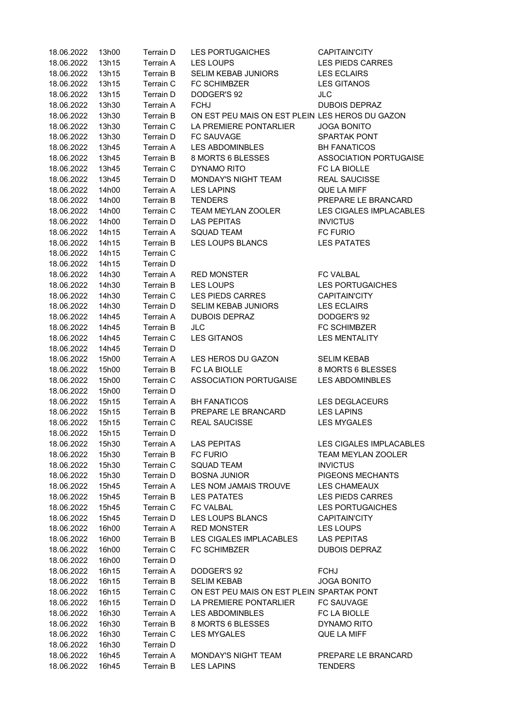| 18.06.2022 | 13h00 | Terrain D | <b>LES PORTUGAICHES</b>                         | CAPITAIN'CITY                 |
|------------|-------|-----------|-------------------------------------------------|-------------------------------|
| 18.06.2022 | 13h15 | Terrain A | <b>LES LOUPS</b>                                | <b>LES PIEDS CARRES</b>       |
| 18.06.2022 | 13h15 | Terrain B | SELIM KEBAB JUNIORS                             | <b>LES ECLAIRS</b>            |
| 18.06.2022 | 13h15 | Terrain C | <b>FC SCHIMBZER</b>                             | <b>LES GITANOS</b>            |
| 18.06.2022 | 13h15 | Terrain D | DODGER'S 92                                     | JL C                          |
| 18.06.2022 | 13h30 | Terrain A | <b>FCHJ</b>                                     | <b>DUBOIS DEPRAZ</b>          |
| 18.06.2022 | 13h30 | Terrain B | ON EST PEU MAIS ON EST PLEIN LES HEROS DU GAZON |                               |
| 18.06.2022 | 13h30 | Terrain C | LA PREMIERE PONTARLIER                          | <b>JOGA BONITO</b>            |
| 18.06.2022 | 13h30 | Terrain D | FC SAUVAGE                                      | <b>SPARTAK PONT</b>           |
| 18.06.2022 | 13h45 | Terrain A | LES ABDOMINBLES                                 | <b>BH FANATICOS</b>           |
| 18.06.2022 | 13h45 | Terrain B | 8 MORTS 6 BLESSES                               | <b>ASSOCIATION PORTUGAISE</b> |
| 18.06.2022 | 13h45 | Terrain C | DYNAMO RITO                                     | FC LA BIOLLE                  |
| 18.06.2022 | 13h45 | Terrain D | MONDAY'S NIGHT TEAM                             | <b>REAL SAUCISSE</b>          |
| 18.06.2022 | 14h00 | Terrain A | <b>LES LAPINS</b>                               | QUE LA MIFF                   |
| 18.06.2022 | 14h00 | Terrain B | <b>TENDERS</b>                                  | PREPARE LE BRANCARD           |
| 18.06.2022 | 14h00 | Terrain C | TEAM MEYLAN ZOOLER                              | LES CIGALES IMPLACABLES       |
| 18.06.2022 | 14h00 | Terrain D | <b>LAS PEPITAS</b>                              | <b>INVICTUS</b>               |
| 18.06.2022 | 14h15 | Terrain A | <b>SQUAD TEAM</b>                               | FC FURIO                      |
| 18.06.2022 | 14h15 | Terrain B | LES LOUPS BLANCS                                | <b>LES PATATES</b>            |
| 18.06.2022 | 14h15 | Terrain C |                                                 |                               |
| 18.06.2022 | 14h15 | Terrain D |                                                 |                               |
| 18.06.2022 | 14h30 | Terrain A | <b>RED MONSTER</b>                              | <b>FC VALBAL</b>              |
| 18.06.2022 | 14h30 | Terrain B | LES LOUPS                                       | <b>LES PORTUGAICHES</b>       |
| 18.06.2022 | 14h30 | Terrain C | <b>LES PIEDS CARRES</b>                         | <b>CAPITAIN'CITY</b>          |
| 18.06.2022 | 14h30 | Terrain D | SELIM KEBAB JUNIORS                             | <b>LES ECLAIRS</b>            |
| 18.06.2022 | 14h45 | Terrain A | <b>DUBOIS DEPRAZ</b>                            | DODGER'S 92                   |
| 18.06.2022 | 14h45 | Terrain B | <b>JLC</b>                                      | FC SCHIMBZER                  |
| 18.06.2022 | 14h45 | Terrain C | <b>LES GITANOS</b>                              | <b>LES MENTALITY</b>          |
| 18.06.2022 | 14h45 | Terrain D |                                                 |                               |
| 18.06.2022 | 15h00 | Terrain A | LES HEROS DU GAZON                              | <b>SELIM KEBAB</b>            |
| 18.06.2022 | 15h00 | Terrain B | FC LA BIOLLE                                    | 8 MORTS 6 BLESSES             |
| 18.06.2022 | 15h00 | Terrain C | ASSOCIATION PORTUGAISE                          | <b>LES ABDOMINBLES</b>        |
| 18.06.2022 | 15h00 | Terrain D |                                                 |                               |
| 18.06.2022 | 15h15 | Terrain A | <b>BH FANATICOS</b>                             | <b>LES DEGLACEURS</b>         |
| 18.06.2022 | 15h15 | Terrain B | PREPARE LE BRANCARD                             | <b>LES LAPINS</b>             |
| 18.06.2022 | 15h15 | Terrain C | <b>REAL SAUCISSE</b>                            | <b>LES MYGALES</b>            |
| 18.06.2022 | 15h15 | Terrain D |                                                 |                               |
| 18.06.2022 | 15h30 | Terrain A | LAS PEPITAS                                     | LES CIGALES IMPLACABLES       |
| 18.06.2022 | 15h30 | Terrain B | <b>FC FURIO</b>                                 | TEAM MEYLAN ZOOLER            |
| 18.06.2022 | 15h30 | Terrain C | <b>SQUAD TEAM</b>                               | <b>INVICTUS</b>               |
| 18.06.2022 | 15h30 | Terrain D | <b>BOSNA JUNIOR</b>                             | PIGEONS MECHANTS              |
| 18.06.2022 |       | Terrain A | LES NOM JAMAIS TROUVE                           | LES CHAMEAUX                  |
|            | 15h45 |           | <b>LES PATATES</b>                              | <b>LES PIEDS CARRES</b>       |
| 18.06.2022 | 15h45 | Terrain B | <b>FC VALBAL</b>                                |                               |
| 18.06.2022 | 15h45 | Terrain C |                                                 | <b>LES PORTUGAICHES</b>       |
| 18.06.2022 | 15h45 | Terrain D | LES LOUPS BLANCS                                | <b>CAPITAIN'CITY</b>          |
| 18.06.2022 | 16h00 | Terrain A | <b>RED MONSTER</b>                              | LES LOUPS                     |
| 18.06.2022 | 16h00 | Terrain B | LES CIGALES IMPLACABLES                         | LAS PEPITAS                   |
| 18.06.2022 | 16h00 | Terrain C | <b>FC SCHIMBZER</b>                             | <b>DUBOIS DEPRAZ</b>          |
| 18.06.2022 | 16h00 | Terrain D |                                                 |                               |
| 18.06.2022 | 16h15 | Terrain A | DODGER'S 92                                     | <b>FCHJ</b>                   |
| 18.06.2022 | 16h15 | Terrain B | <b>SELIM KEBAB</b>                              | <b>JOGA BONITO</b>            |
| 18.06.2022 | 16h15 | Terrain C | ON EST PEU MAIS ON EST PLEIN SPARTAK PONT       |                               |
| 18.06.2022 | 16h15 | Terrain D | LA PREMIERE PONTARLIER                          | FC SAUVAGE                    |
| 18.06.2022 | 16h30 | Terrain A | LES ABDOMINBLES                                 | FC LA BIOLLE                  |
| 18.06.2022 | 16h30 | Terrain B | 8 MORTS 6 BLESSES                               | DYNAMO RITO                   |
| 18.06.2022 | 16h30 | Terrain C | <b>LES MYGALES</b>                              | QUE LA MIFF                   |
| 18.06.2022 | 16h30 | Terrain D |                                                 |                               |
| 18.06.2022 | 16h45 | Terrain A | MONDAY'S NIGHT TEAM                             | PREPARE LE BRANCARD           |
| 18.06.2022 | 16h45 | Terrain B | <b>LES LAPINS</b>                               | <b>TENDERS</b>                |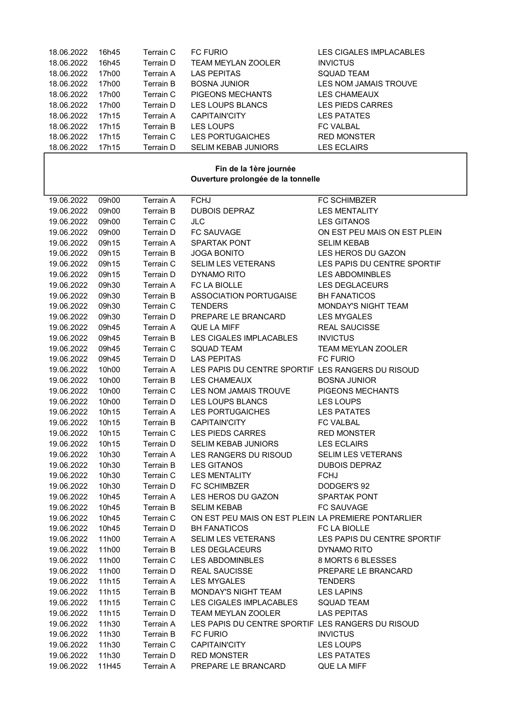| 18.06.2022 | 16h45 | Terrain C | <b>FC FURIO</b>            | LES CIGALES IMPLACABLES |
|------------|-------|-----------|----------------------------|-------------------------|
| 18.06.2022 | 16h45 | Terrain D | <b>TEAM MEYLAN ZOOLER</b>  | <b>INVICTUS</b>         |
| 18.06.2022 | 17h00 | Terrain A | <b>LAS PEPITAS</b>         | <b>SQUAD TEAM</b>       |
| 18.06.2022 | 17h00 | Terrain B | <b>BOSNA JUNIOR</b>        | LES NOM JAMAIS TROUVE   |
| 18.06.2022 | 17h00 | Terrain C | PIGEONS MECHANTS           | <b>LES CHAMEAUX</b>     |
| 18.06.2022 | 17h00 | Terrain D | LES LOUPS BLANCS           | <b>LES PIEDS CARRES</b> |
| 18.06.2022 | 17h15 | Terrain A | <b>CAPITAIN'CITY</b>       | <b>LES PATATES</b>      |
| 18.06.2022 | 17h15 | Terrain B | <b>LES LOUPS</b>           | <b>FC VALBAL</b>        |
| 18.06.2022 | 17h15 | Terrain C | <b>LES PORTUGAICHES</b>    | <b>RED MONSTER</b>      |
| 18.06.2022 | 17h15 | Terrain D | <b>SELIM KEBAB JUNIORS</b> | <b>LES ECLAIRS</b>      |

#### Fin de la 1ère journée Ouverture prolongée de la tonnelle

| 19.06.2022 | 09h00 | Terrain A        | <b>FCHJ</b>                                         | FC SCHIMBZER                 |
|------------|-------|------------------|-----------------------------------------------------|------------------------------|
| 19.06.2022 | 09h00 | Terrain B        | <b>DUBOIS DEPRAZ</b>                                | <b>LES MENTALITY</b>         |
| 19.06.2022 | 09h00 | Terrain C        | <b>JLC</b>                                          | <b>LES GITANOS</b>           |
| 19.06.2022 | 09h00 | Terrain D        | FC SAUVAGE                                          | ON EST PEU MAIS ON EST PLEIN |
| 19.06.2022 | 09h15 | Terrain A        | SPARTAK PONT                                        | <b>SELIM KEBAB</b>           |
| 19.06.2022 | 09h15 | Terrain B        | <b>JOGA BONITO</b>                                  | LES HEROS DU GAZON           |
| 19.06.2022 | 09h15 | Terrain C        | SELIM LES VETERANS                                  | LES PAPIS DU CENTRE SPORTIF  |
| 19.06.2022 | 09h15 | Terrain D        | DYNAMO RITO                                         | <b>LES ABDOMINBLES</b>       |
| 19.06.2022 | 09h30 | Terrain A        | FC LA BIOLLE                                        | <b>LES DEGLACEURS</b>        |
| 19.06.2022 | 09h30 | Terrain B        | ASSOCIATION PORTUGAISE                              | <b>BH FANATICOS</b>          |
| 19.06.2022 | 09h30 | Terrain C        | <b>TENDERS</b>                                      | MONDAY'S NIGHT TEAM          |
| 19.06.2022 | 09h30 | Terrain D        | PREPARE LE BRANCARD                                 | <b>LES MYGALES</b>           |
| 19.06.2022 | 09h45 | Terrain A        | QUE LA MIFF                                         | <b>REAL SAUCISSE</b>         |
| 19.06.2022 | 09h45 | <b>Terrain B</b> | LES CIGALES IMPLACABLES                             | <b>INVICTUS</b>              |
| 19.06.2022 | 09h45 | Terrain C        | <b>SQUAD TEAM</b>                                   | TEAM MEYLAN ZOOLER           |
| 19.06.2022 | 09h45 | Terrain D        | <b>LAS PEPITAS</b>                                  | <b>FC FURIO</b>              |
| 19.06.2022 | 10h00 | Terrain A        | LES PAPIS DU CENTRE SPORTIF LES RANGERS DU RISOUD   |                              |
| 19.06.2022 | 10h00 | <b>Terrain B</b> | LES CHAMEAUX                                        | <b>BOSNA JUNIOR</b>          |
| 19.06.2022 | 10h00 | Terrain C        | LES NOM JAMAIS TROUVE                               | PIGEONS MECHANTS             |
| 19.06.2022 | 10h00 | Terrain D        | LES LOUPS BLANCS                                    | <b>LES LOUPS</b>             |
| 19.06.2022 | 10h15 | Terrain A        | <b>LES PORTUGAICHES</b>                             | <b>LES PATATES</b>           |
| 19.06.2022 | 10h15 | Terrain B        | <b>CAPITAIN'CITY</b>                                | <b>FC VALBAL</b>             |
| 19.06.2022 | 10h15 | Terrain C        | LES PIEDS CARRES                                    | <b>RED MONSTER</b>           |
| 19.06.2022 | 10h15 | Terrain D        | SELIM KEBAB JUNIORS                                 | <b>LES ECLAIRS</b>           |
| 19.06.2022 | 10h30 | Terrain A        | LES RANGERS DU RISOUD                               | <b>SELIM LES VETERANS</b>    |
| 19.06.2022 | 10h30 | Terrain B        | LES GITANOS                                         | <b>DUBOIS DEPRAZ</b>         |
| 19.06.2022 | 10h30 | Terrain C        | LES MENTALITY                                       | <b>FCHJ</b>                  |
| 19.06.2022 | 10h30 | Terrain D        | <b>FC SCHIMBZER</b>                                 | DODGER'S 92                  |
| 19.06.2022 | 10h45 | Terrain A        | LES HEROS DU GAZON                                  | <b>SPARTAK PONT</b>          |
| 19.06.2022 | 10h45 | Terrain B        | <b>SELIM KEBAB</b>                                  | <b>FC SAUVAGE</b>            |
| 19.06.2022 | 10h45 | Terrain C        | ON EST PEU MAIS ON EST PLEIN LA PREMIERE PONTARLIER |                              |
| 19.06.2022 | 10h45 | Terrain D        | <b>BH FANATICOS</b>                                 | FC LA BIOLLE                 |
| 19.06.2022 | 11h00 | Terrain A        | SELIM LES VETERANS                                  | LES PAPIS DU CENTRE SPORTIF  |
| 19.06.2022 | 11h00 | Terrain B        | LES DEGLACEURS                                      | DYNAMO RITO                  |
| 19.06.2022 | 11h00 | Terrain C        | <b>LES ABDOMINBLES</b>                              | 8 MORTS 6 BLESSES            |
| 19.06.2022 | 11h00 | Terrain D        | <b>REAL SAUCISSE</b>                                | PREPARE LE BRANCARD          |
| 19.06.2022 | 11h15 |                  | Terrain A LES MYGALES                               | <b>TENDERS</b>               |
| 19.06.2022 | 11h15 | Terrain B        | MONDAY'S NIGHT TEAM                                 | <b>LES LAPINS</b>            |
| 19.06.2022 | 11h15 | Terrain C        | LES CIGALES IMPLACABLES                             | <b>SQUAD TEAM</b>            |
| 19.06.2022 | 11h15 | Terrain D        | TEAM MEYLAN ZOOLER                                  | <b>LAS PEPITAS</b>           |
| 19.06.2022 | 11h30 | Terrain A        | LES PAPIS DU CENTRE SPORTIF LES RANGERS DU RISOUD   |                              |
| 19.06.2022 | 11h30 | Terrain B        | <b>FC FURIO</b>                                     | <b>INVICTUS</b>              |
| 19.06.2022 | 11h30 | Terrain C        | <b>CAPITAIN'CITY</b>                                | LES LOUPS                    |
| 19.06.2022 | 11h30 | Terrain D        | <b>RED MONSTER</b>                                  | <b>LES PATATES</b>           |
| 19.06.2022 | 11H45 | Terrain A        | PREPARE LE BRANCARD                                 | QUE LA MIFF                  |